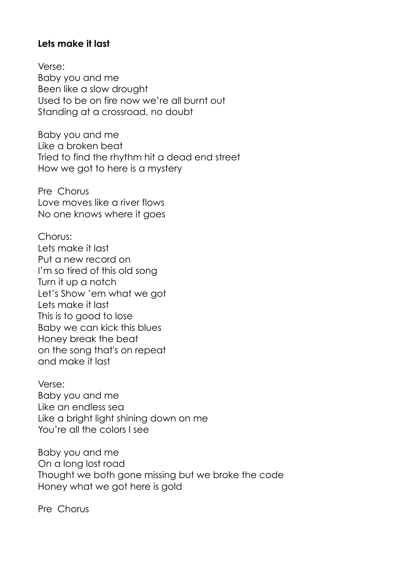## **Lets make it last**

Verse: Baby you and me Been like a slow drought Used to be on fire now we're all burnt out Standing at a crossroad, no doubt

Baby you and me Like a broken beat Tried to find the rhythm hit a dead end street How we got to here is a mystery

Pre Chorus Love moves like a river flows No one knows where it goes

Chorus: Lets make it last Put a new record on I'm so tired of this old song Turn it up a notch Let's Show 'em what we got Lets make it last This is to good to lose Baby we can kick this blues Honey break the beat on the song that's on repeat and make it last

Verse: Baby you and me Like an endless sea Like a bright light shining down on me You're all the colors I see

Baby you and me On a long lost road Thought we both gone missing but we broke the code Honey what we got here is gold

Pre Chorus